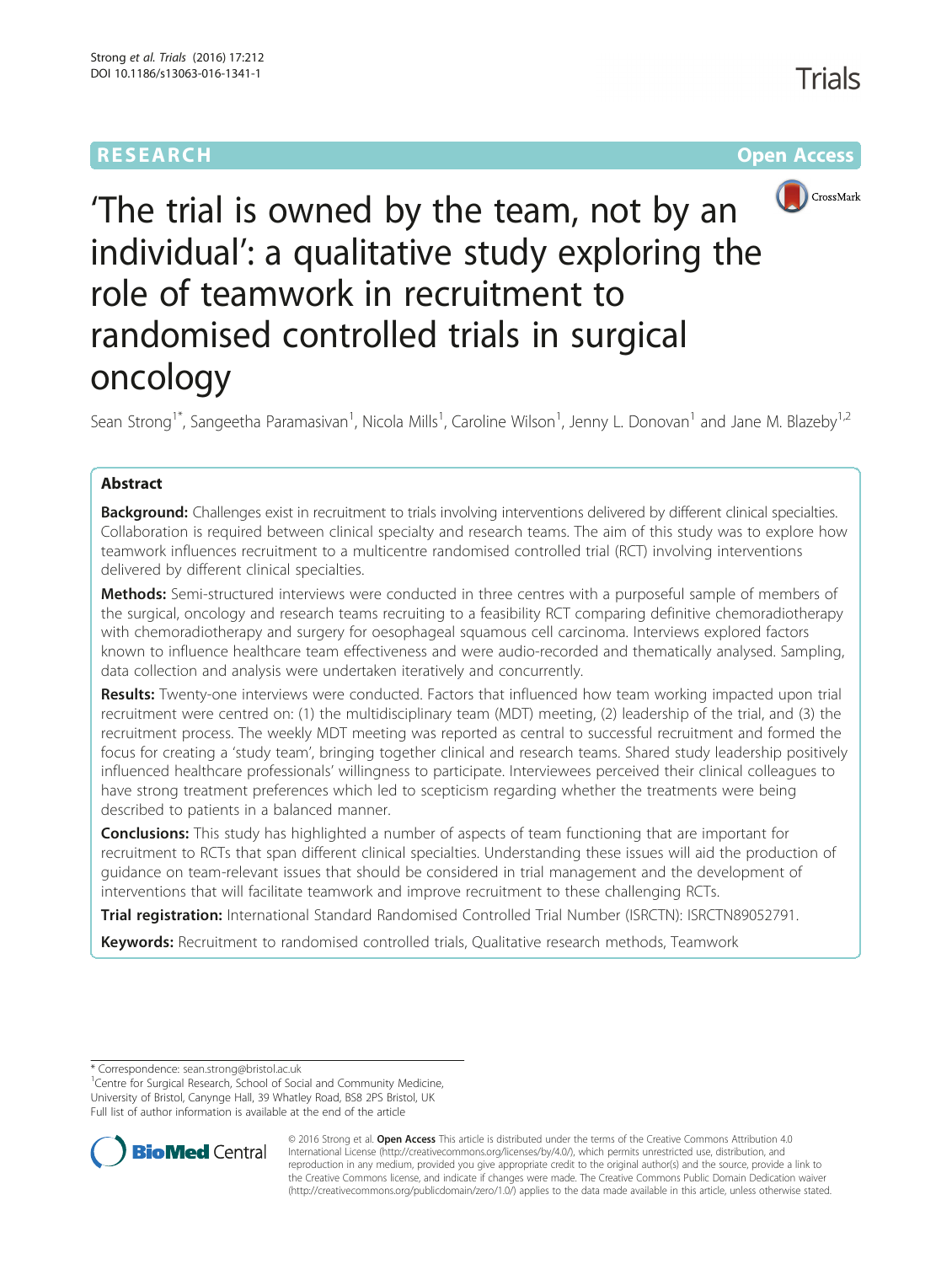# R E S EAR CH Open Access

Trials



# 'The trial is owned by the team, not by an individual': a qualitative study exploring the role of teamwork in recruitment to randomised controlled trials in surgical oncology

Sean Strong<sup>1\*</sup>, Sangeetha Paramasivan<sup>1</sup>, Nicola Mills<sup>1</sup>, Caroline Wilson<sup>1</sup>, Jenny L. Donovan<sup>1</sup> and Jane M. Blazeby<sup>1,2</sup>

# Abstract

Background: Challenges exist in recruitment to trials involving interventions delivered by different clinical specialties. Collaboration is required between clinical specialty and research teams. The aim of this study was to explore how teamwork influences recruitment to a multicentre randomised controlled trial (RCT) involving interventions delivered by different clinical specialties.

Methods: Semi-structured interviews were conducted in three centres with a purposeful sample of members of the surgical, oncology and research teams recruiting to a feasibility RCT comparing definitive chemoradiotherapy with chemoradiotherapy and surgery for oesophageal squamous cell carcinoma. Interviews explored factors known to influence healthcare team effectiveness and were audio-recorded and thematically analysed. Sampling, data collection and analysis were undertaken iteratively and concurrently.

Results: Twenty-one interviews were conducted. Factors that influenced how team working impacted upon trial recruitment were centred on: (1) the multidisciplinary team (MDT) meeting, (2) leadership of the trial, and (3) the recruitment process. The weekly MDT meeting was reported as central to successful recruitment and formed the focus for creating a 'study team', bringing together clinical and research teams. Shared study leadership positively influenced healthcare professionals' willingness to participate. Interviewees perceived their clinical colleagues to have strong treatment preferences which led to scepticism regarding whether the treatments were being described to patients in a balanced manner.

**Conclusions:** This study has highlighted a number of aspects of team functioning that are important for recruitment to RCTs that span different clinical specialties. Understanding these issues will aid the production of guidance on team-relevant issues that should be considered in trial management and the development of interventions that will facilitate teamwork and improve recruitment to these challenging RCTs.

Trial registration: International Standard Randomised Controlled Trial Number (ISRCTN): [ISRCTN89052791](http://www.isrctn.com/ISRCTN89052791).

Keywords: Recruitment to randomised controlled trials, Qualitative research methods, Teamwork

<sup>&</sup>lt;sup>1</sup> Centre for Surgical Research, School of Social and Community Medicine, University of Bristol, Canynge Hall, 39 Whatley Road, BS8 2PS Bristol, UK Full list of author information is available at the end of the article



© 2016 Strong et al. Open Access This article is distributed under the terms of the Creative Commons Attribution 4.0 International License [\(http://creativecommons.org/licenses/by/4.0/](http://creativecommons.org/licenses/by/4.0/)), which permits unrestricted use, distribution, and reproduction in any medium, provided you give appropriate credit to the original author(s) and the source, provide a link to the Creative Commons license, and indicate if changes were made. The Creative Commons Public Domain Dedication waiver [\(http://creativecommons.org/publicdomain/zero/1.0/](http://creativecommons.org/publicdomain/zero/1.0/)) applies to the data made available in this article, unless otherwise stated.

<sup>\*</sup> Correspondence: [sean.strong@bristol.ac.uk](mailto:sean.strong@bristol.ac.uk) <sup>1</sup>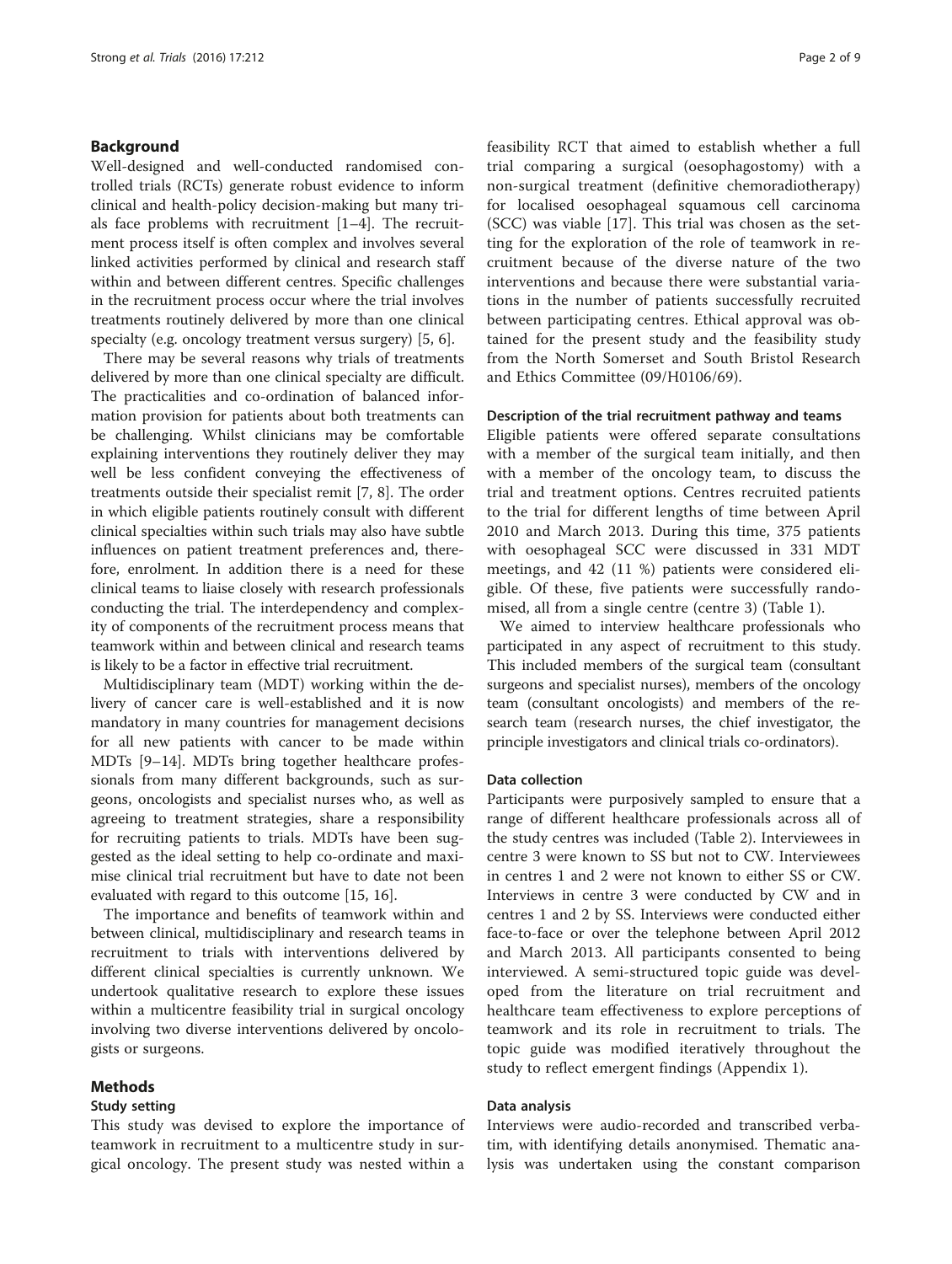## Background

Well-designed and well-conducted randomised controlled trials (RCTs) generate robust evidence to inform clinical and health-policy decision-making but many trials face problems with recruitment [[1](#page-7-0)–[4](#page-7-0)]. The recruitment process itself is often complex and involves several linked activities performed by clinical and research staff within and between different centres. Specific challenges in the recruitment process occur where the trial involves treatments routinely delivered by more than one clinical specialty (e.g. oncology treatment versus surgery) [\[5](#page-7-0), [6](#page-7-0)].

There may be several reasons why trials of treatments delivered by more than one clinical specialty are difficult. The practicalities and co-ordination of balanced information provision for patients about both treatments can be challenging. Whilst clinicians may be comfortable explaining interventions they routinely deliver they may well be less confident conveying the effectiveness of treatments outside their specialist remit [\[7](#page-7-0), [8](#page-7-0)]. The order in which eligible patients routinely consult with different clinical specialties within such trials may also have subtle influences on patient treatment preferences and, therefore, enrolment. In addition there is a need for these clinical teams to liaise closely with research professionals conducting the trial. The interdependency and complexity of components of the recruitment process means that teamwork within and between clinical and research teams is likely to be a factor in effective trial recruitment.

Multidisciplinary team (MDT) working within the delivery of cancer care is well-established and it is now mandatory in many countries for management decisions for all new patients with cancer to be made within MDTs [\[9](#page-8-0)–[14\]](#page-8-0). MDTs bring together healthcare professionals from many different backgrounds, such as surgeons, oncologists and specialist nurses who, as well as agreeing to treatment strategies, share a responsibility for recruiting patients to trials. MDTs have been suggested as the ideal setting to help co-ordinate and maximise clinical trial recruitment but have to date not been evaluated with regard to this outcome [[15, 16](#page-8-0)].

The importance and benefits of teamwork within and between clinical, multidisciplinary and research teams in recruitment to trials with interventions delivered by different clinical specialties is currently unknown. We undertook qualitative research to explore these issues within a multicentre feasibility trial in surgical oncology involving two diverse interventions delivered by oncologists or surgeons.

## Methods

#### Study setting

This study was devised to explore the importance of teamwork in recruitment to a multicentre study in surgical oncology. The present study was nested within a feasibility RCT that aimed to establish whether a full trial comparing a surgical (oesophagostomy) with a non-surgical treatment (definitive chemoradiotherapy) for localised oesophageal squamous cell carcinoma (SCC) was viable [[17\]](#page-8-0). This trial was chosen as the setting for the exploration of the role of teamwork in recruitment because of the diverse nature of the two interventions and because there were substantial variations in the number of patients successfully recruited between participating centres. Ethical approval was obtained for the present study and the feasibility study from the North Somerset and South Bristol Research and Ethics Committee (09/H0106/69).

#### Description of the trial recruitment pathway and teams

Eligible patients were offered separate consultations with a member of the surgical team initially, and then with a member of the oncology team, to discuss the trial and treatment options. Centres recruited patients to the trial for different lengths of time between April 2010 and March 2013. During this time, 375 patients with oesophageal SCC were discussed in 331 MDT meetings, and 42 (11 %) patients were considered eligible. Of these, five patients were successfully randomised, all from a single centre (centre 3) (Table [1\)](#page-2-0).

We aimed to interview healthcare professionals who participated in any aspect of recruitment to this study. This included members of the surgical team (consultant surgeons and specialist nurses), members of the oncology team (consultant oncologists) and members of the research team (research nurses, the chief investigator, the principle investigators and clinical trials co-ordinators).

#### Data collection

Participants were purposively sampled to ensure that a range of different healthcare professionals across all of the study centres was included (Table [2\)](#page-2-0). Interviewees in centre 3 were known to SS but not to CW. Interviewees in centres 1 and 2 were not known to either SS or CW. Interviews in centre 3 were conducted by CW and in centres 1 and 2 by SS. Interviews were conducted either face-to-face or over the telephone between April 2012 and March 2013. All participants consented to being interviewed. A semi-structured topic guide was developed from the literature on trial recruitment and healthcare team effectiveness to explore perceptions of teamwork and its role in recruitment to trials. The topic guide was modified iteratively throughout the study to reflect emergent findings ([Appendix 1](#page-6-0)).

## Data analysis

Interviews were audio-recorded and transcribed verbatim, with identifying details anonymised. Thematic analysis was undertaken using the constant comparison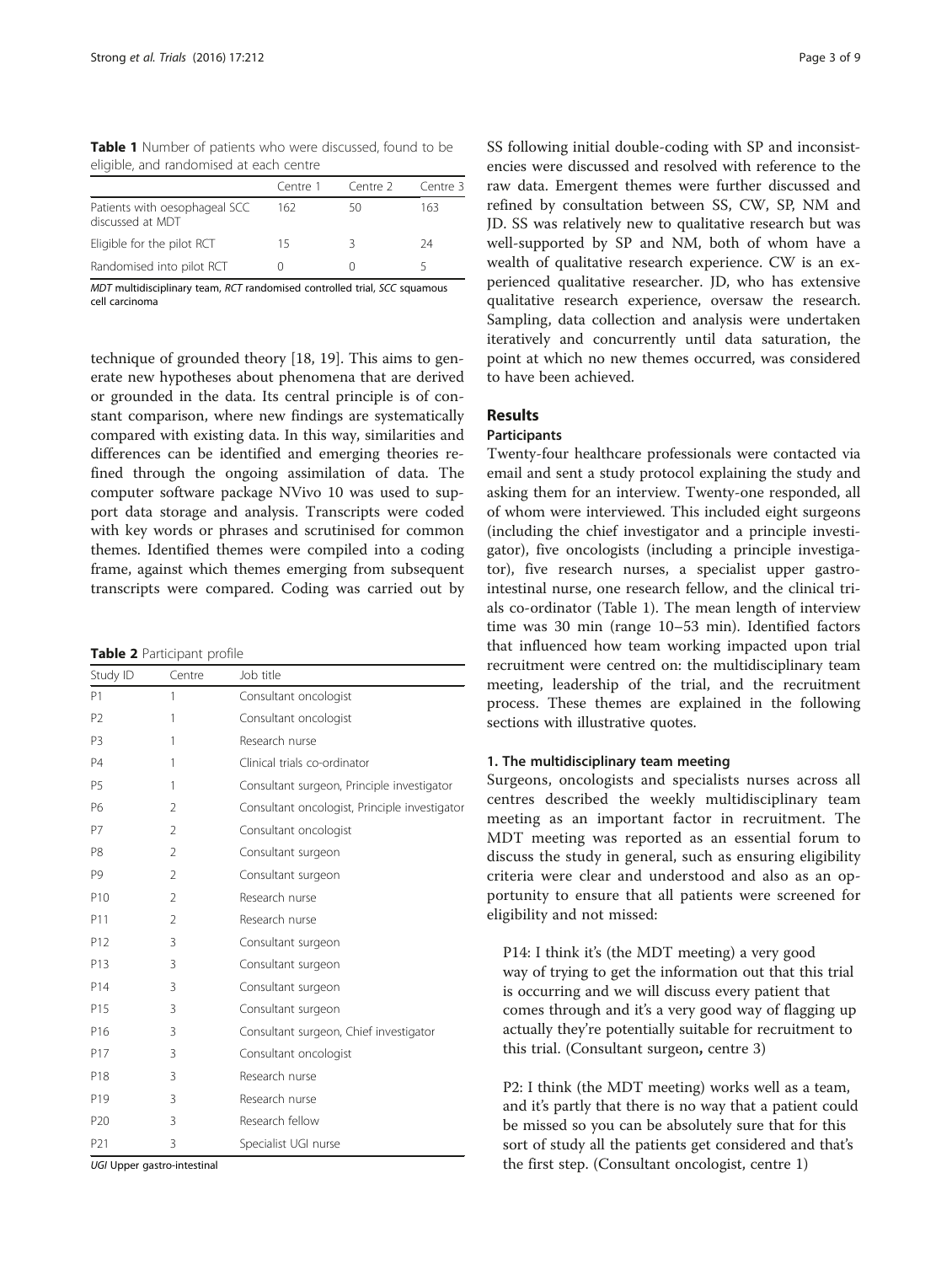<span id="page-2-0"></span>Table 1 Number of patients who were discussed, found to be eligible, and randomised at each centre

|                                                   | Centre 1 | Centre 2 | Centre 3 |
|---------------------------------------------------|----------|----------|----------|
| Patients with oesophageal SCC<br>discussed at MDT | 162.     | 5()      | 163      |
| Eligible for the pilot RCT                        | 15       |          | 24       |
| Randomised into pilot RCT                         |          |          |          |

MDT multidisciplinary team, RCT randomised controlled trial, SCC squamous cell carcinoma

technique of grounded theory [\[18, 19\]](#page-8-0). This aims to generate new hypotheses about phenomena that are derived or grounded in the data. Its central principle is of constant comparison, where new findings are systematically compared with existing data. In this way, similarities and differences can be identified and emerging theories refined through the ongoing assimilation of data. The computer software package NVivo 10 was used to support data storage and analysis. Transcripts were coded with key words or phrases and scrutinised for common themes. Identified themes were compiled into a coding frame, against which themes emerging from subsequent transcripts were compared. Coding was carried out by

|  | Table 2 Participant profile |  |
|--|-----------------------------|--|
|--|-----------------------------|--|

| Study ID        | Centre         | Job title                                     |  |
|-----------------|----------------|-----------------------------------------------|--|
| P <sub>1</sub>  | 1              | Consultant oncologist                         |  |
| P <sub>2</sub>  | 1              | Consultant oncologist                         |  |
| P <sub>3</sub>  | 1              | Research nurse                                |  |
| <b>P4</b>       | 1              | Clinical trials co-ordinator                  |  |
| P <sub>5</sub>  | 1              | Consultant surgeon, Principle investigator    |  |
| P6              | $\overline{2}$ | Consultant oncologist, Principle investigator |  |
| P7              | $\overline{2}$ | Consultant oncologist                         |  |
| P <sub>8</sub>  | $\overline{2}$ | Consultant surgeon                            |  |
| P9              | $\mathfrak{D}$ | Consultant surgeon                            |  |
| P <sub>10</sub> | $\overline{2}$ | Research nurse                                |  |
| P11             | $\overline{2}$ | Research nurse                                |  |
| P <sub>12</sub> | 3              | Consultant surgeon                            |  |
| P13             | 3              | Consultant surgeon                            |  |
| P14             | 3              | Consultant surgeon                            |  |
| P <sub>15</sub> | 3              | Consultant surgeon                            |  |
| P <sub>16</sub> | 3              | Consultant surgeon, Chief investigator        |  |
| P17             | 3              | Consultant oncologist                         |  |
| P18             | 3              | Research nurse                                |  |
| P <sub>19</sub> | 3              | Research nurse                                |  |
| P <sub>20</sub> | 3              | Research fellow                               |  |
| P21             | 3              | Specialist UGI nurse                          |  |

UGI Upper gastro-intestinal

SS following initial double-coding with SP and inconsistencies were discussed and resolved with reference to the raw data. Emergent themes were further discussed and refined by consultation between SS, CW, SP, NM and JD. SS was relatively new to qualitative research but was well-supported by SP and NM, both of whom have a wealth of qualitative research experience. CW is an experienced qualitative researcher. JD, who has extensive qualitative research experience, oversaw the research. Sampling, data collection and analysis were undertaken iteratively and concurrently until data saturation, the point at which no new themes occurred, was considered to have been achieved.

# Results

# **Participants**

Twenty-four healthcare professionals were contacted via email and sent a study protocol explaining the study and asking them for an interview. Twenty-one responded, all of whom were interviewed. This included eight surgeons (including the chief investigator and a principle investigator), five oncologists (including a principle investigator), five research nurses, a specialist upper gastrointestinal nurse, one research fellow, and the clinical trials co-ordinator (Table 1). The mean length of interview time was 30 min (range 10–53 min). Identified factors that influenced how team working impacted upon trial recruitment were centred on: the multidisciplinary team meeting, leadership of the trial, and the recruitment process. These themes are explained in the following sections with illustrative quotes.

#### 1. The multidisciplinary team meeting

Surgeons, oncologists and specialists nurses across all centres described the weekly multidisciplinary team meeting as an important factor in recruitment. The MDT meeting was reported as an essential forum to discuss the study in general, such as ensuring eligibility criteria were clear and understood and also as an opportunity to ensure that all patients were screened for eligibility and not missed:

P14: I think it's (the MDT meeting) a very good way of trying to get the information out that this trial is occurring and we will discuss every patient that comes through and it's a very good way of flagging up actually they're potentially suitable for recruitment to this trial. (Consultant surgeon, centre 3)

P2: I think (the MDT meeting) works well as a team, and it's partly that there is no way that a patient could be missed so you can be absolutely sure that for this sort of study all the patients get considered and that's the first step. (Consultant oncologist, centre 1)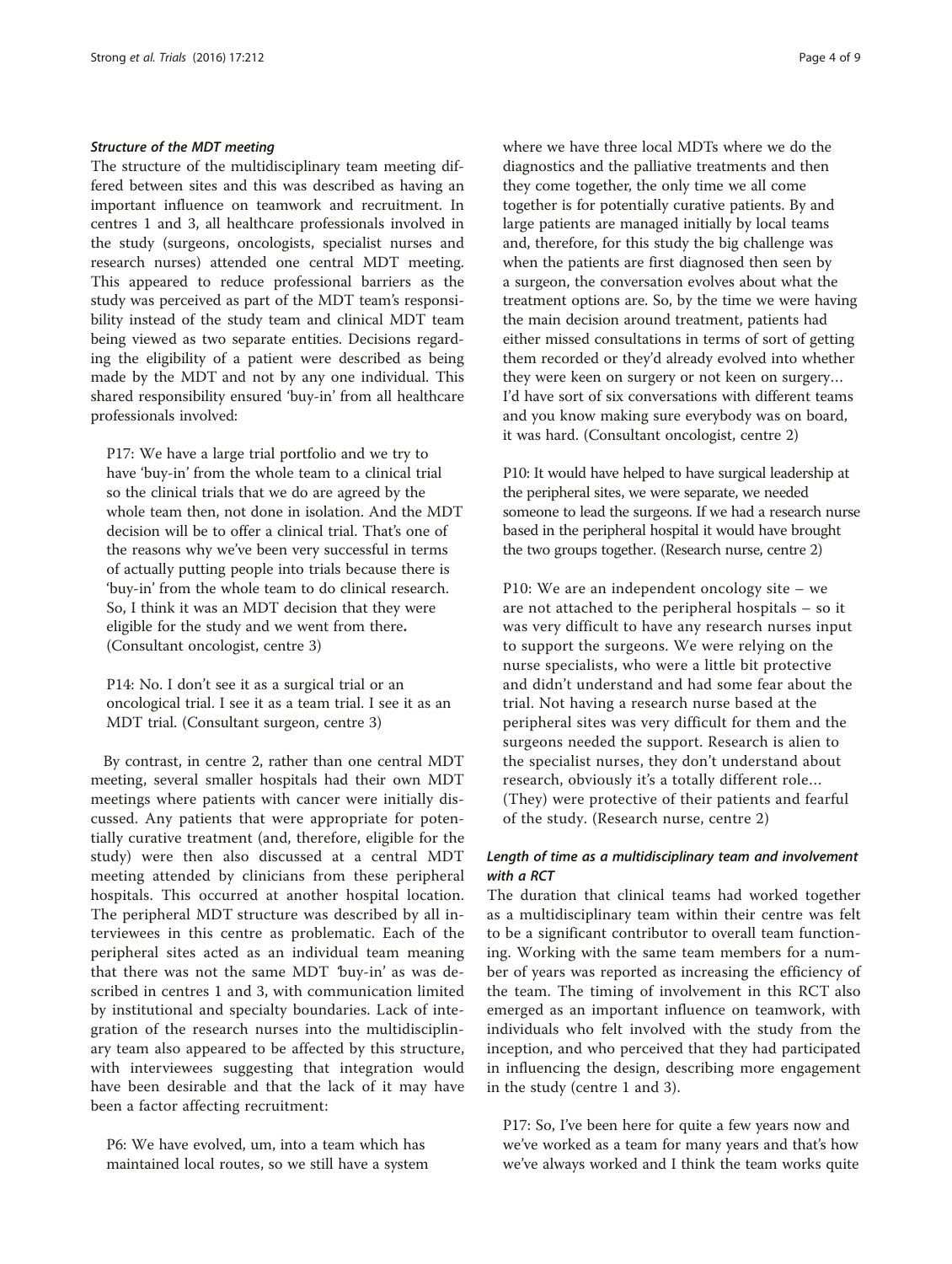## Structure of the MDT meeting

The structure of the multidisciplinary team meeting differed between sites and this was described as having an important influence on teamwork and recruitment. In centres 1 and 3, all healthcare professionals involved in the study (surgeons, oncologists, specialist nurses and research nurses) attended one central MDT meeting. This appeared to reduce professional barriers as the study was perceived as part of the MDT team's responsibility instead of the study team and clinical MDT team being viewed as two separate entities. Decisions regarding the eligibility of a patient were described as being made by the MDT and not by any one individual. This shared responsibility ensured 'buy-in' from all healthcare professionals involved:

P17: We have a large trial portfolio and we try to have 'buy-in' from the whole team to a clinical trial so the clinical trials that we do are agreed by the whole team then, not done in isolation. And the MDT decision will be to offer a clinical trial. That's one of the reasons why we've been very successful in terms of actually putting people into trials because there is 'buy-in' from the whole team to do clinical research. So, I think it was an MDT decision that they were eligible for the study and we went from there. (Consultant oncologist, centre 3)

P14: No. I don't see it as a surgical trial or an oncological trial. I see it as a team trial. I see it as an MDT trial. (Consultant surgeon, centre 3)

By contrast, in centre 2, rather than one central MDT meeting, several smaller hospitals had their own MDT meetings where patients with cancer were initially discussed. Any patients that were appropriate for potentially curative treatment (and, therefore, eligible for the study) were then also discussed at a central MDT meeting attended by clinicians from these peripheral hospitals. This occurred at another hospital location. The peripheral MDT structure was described by all interviewees in this centre as problematic. Each of the peripheral sites acted as an individual team meaning that there was not the same MDT 'buy-in' as was described in centres 1 and 3, with communication limited by institutional and specialty boundaries. Lack of integration of the research nurses into the multidisciplinary team also appeared to be affected by this structure, with interviewees suggesting that integration would have been desirable and that the lack of it may have been a factor affecting recruitment:

P6: We have evolved, um, into a team which has maintained local routes, so we still have a system where we have three local MDTs where we do the diagnostics and the palliative treatments and then they come together, the only time we all come together is for potentially curative patients. By and large patients are managed initially by local teams and, therefore, for this study the big challenge was when the patients are first diagnosed then seen by a surgeon, the conversation evolves about what the treatment options are. So, by the time we were having the main decision around treatment, patients had either missed consultations in terms of sort of getting them recorded or they'd already evolved into whether they were keen on surgery or not keen on surgery… I'd have sort of six conversations with different teams and you know making sure everybody was on board, it was hard. (Consultant oncologist, centre 2)

P10: It would have helped to have surgical leadership at the peripheral sites, we were separate, we needed someone to lead the surgeons. If we had a research nurse based in the peripheral hospital it would have brought the two groups together. (Research nurse, centre 2)

P10: We are an independent oncology site – we are not attached to the peripheral hospitals – so it was very difficult to have any research nurses input to support the surgeons. We were relying on the nurse specialists, who were a little bit protective and didn't understand and had some fear about the trial. Not having a research nurse based at the peripheral sites was very difficult for them and the surgeons needed the support. Research is alien to the specialist nurses, they don't understand about research, obviously it's a totally different role… (They) were protective of their patients and fearful of the study. (Research nurse, centre 2)

## Length of time as a multidisciplinary team and involvement with a RCT

The duration that clinical teams had worked together as a multidisciplinary team within their centre was felt to be a significant contributor to overall team functioning. Working with the same team members for a number of years was reported as increasing the efficiency of the team. The timing of involvement in this RCT also emerged as an important influence on teamwork, with individuals who felt involved with the study from the inception, and who perceived that they had participated in influencing the design, describing more engagement in the study (centre 1 and 3).

P17: So, I've been here for quite a few years now and we've worked as a team for many years and that's how we've always worked and I think the team works quite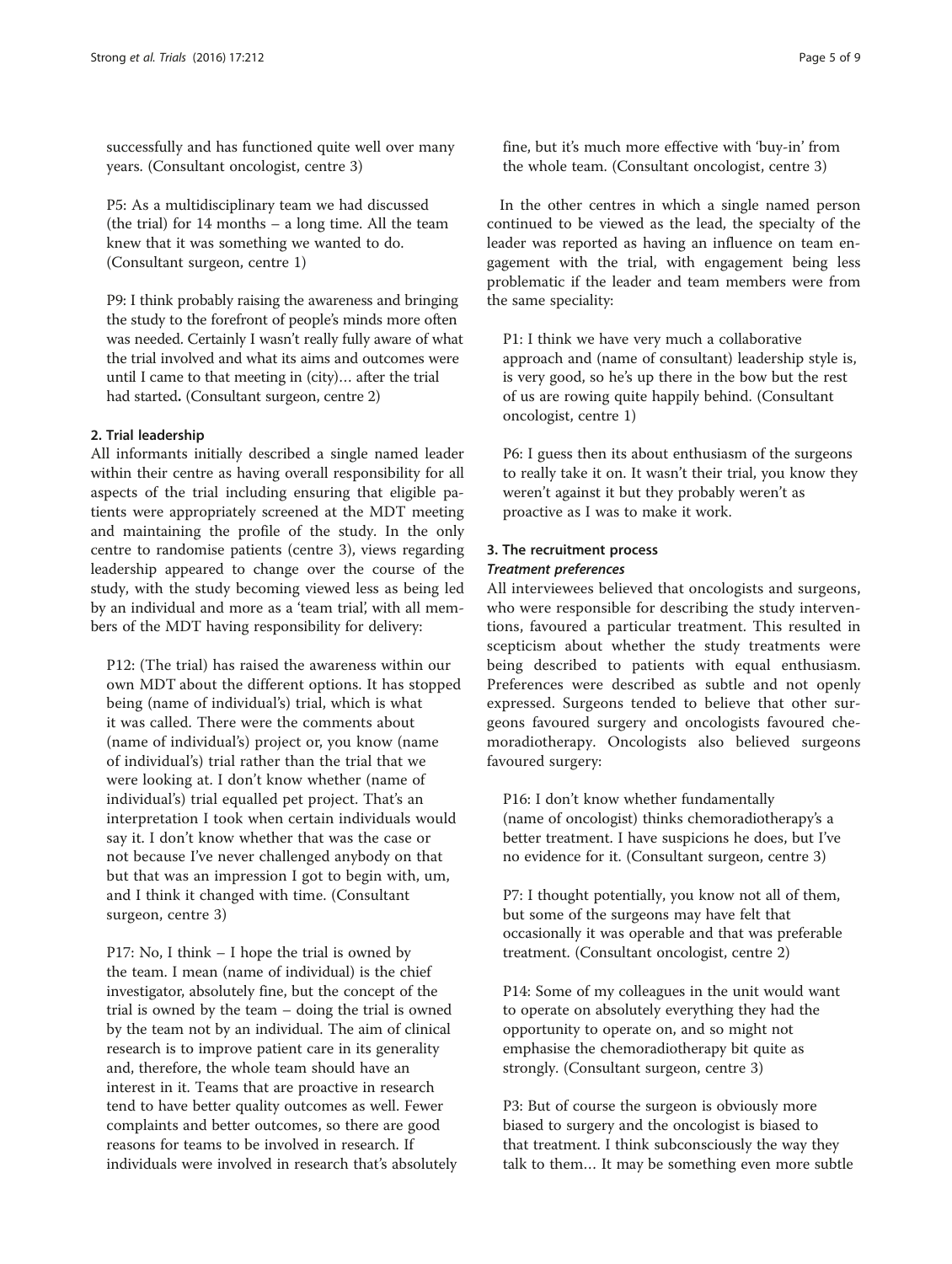successfully and has functioned quite well over many years. (Consultant oncologist, centre 3)

P5: As a multidisciplinary team we had discussed (the trial) for 14 months – a long time. All the team knew that it was something we wanted to do. (Consultant surgeon, centre 1)

P9: I think probably raising the awareness and bringing the study to the forefront of people's minds more often was needed. Certainly I wasn't really fully aware of what the trial involved and what its aims and outcomes were until I came to that meeting in (city)… after the trial had started. (Consultant surgeon, centre 2)

## 2. Trial leadership

All informants initially described a single named leader within their centre as having overall responsibility for all aspects of the trial including ensuring that eligible patients were appropriately screened at the MDT meeting and maintaining the profile of the study. In the only centre to randomise patients (centre 3), views regarding leadership appeared to change over the course of the study, with the study becoming viewed less as being led by an individual and more as a 'team trial', with all members of the MDT having responsibility for delivery:

P12: (The trial) has raised the awareness within our own MDT about the different options. It has stopped being (name of individual's) trial, which is what it was called. There were the comments about (name of individual's) project or, you know (name of individual's) trial rather than the trial that we were looking at. I don't know whether (name of individual's) trial equalled pet project. That's an interpretation I took when certain individuals would say it. I don't know whether that was the case or not because I've never challenged anybody on that but that was an impression I got to begin with, um, and I think it changed with time. (Consultant surgeon, centre 3)

P17: No, I think – I hope the trial is owned by the team. I mean (name of individual) is the chief investigator, absolutely fine, but the concept of the trial is owned by the team – doing the trial is owned by the team not by an individual. The aim of clinical research is to improve patient care in its generality and, therefore, the whole team should have an interest in it. Teams that are proactive in research tend to have better quality outcomes as well. Fewer complaints and better outcomes, so there are good reasons for teams to be involved in research. If individuals were involved in research that's absolutely

fine, but it's much more effective with 'buy-in' from the whole team. (Consultant oncologist, centre 3)

In the other centres in which a single named person continued to be viewed as the lead, the specialty of the leader was reported as having an influence on team engagement with the trial, with engagement being less problematic if the leader and team members were from the same speciality:

P1: I think we have very much a collaborative approach and (name of consultant) leadership style is, is very good, so he's up there in the bow but the rest of us are rowing quite happily behind. (Consultant oncologist, centre 1)

P6: I guess then its about enthusiasm of the surgeons to really take it on. It wasn't their trial, you know they weren't against it but they probably weren't as proactive as I was to make it work.

## 3. The recruitment process Treatment preferences

All interviewees believed that oncologists and surgeons, who were responsible for describing the study interventions, favoured a particular treatment. This resulted in scepticism about whether the study treatments were being described to patients with equal enthusiasm. Preferences were described as subtle and not openly expressed. Surgeons tended to believe that other surgeons favoured surgery and oncologists favoured chemoradiotherapy. Oncologists also believed surgeons favoured surgery:

P16: I don't know whether fundamentally (name of oncologist) thinks chemoradiotherapy's a better treatment. I have suspicions he does, but I've no evidence for it. (Consultant surgeon, centre 3)

P7: I thought potentially, you know not all of them, but some of the surgeons may have felt that occasionally it was operable and that was preferable treatment. (Consultant oncologist, centre 2)

P14: Some of my colleagues in the unit would want to operate on absolutely everything they had the opportunity to operate on, and so might not emphasise the chemoradiotherapy bit quite as strongly. (Consultant surgeon, centre 3)

P3: But of course the surgeon is obviously more biased to surgery and the oncologist is biased to that treatment. I think subconsciously the way they talk to them… It may be something even more subtle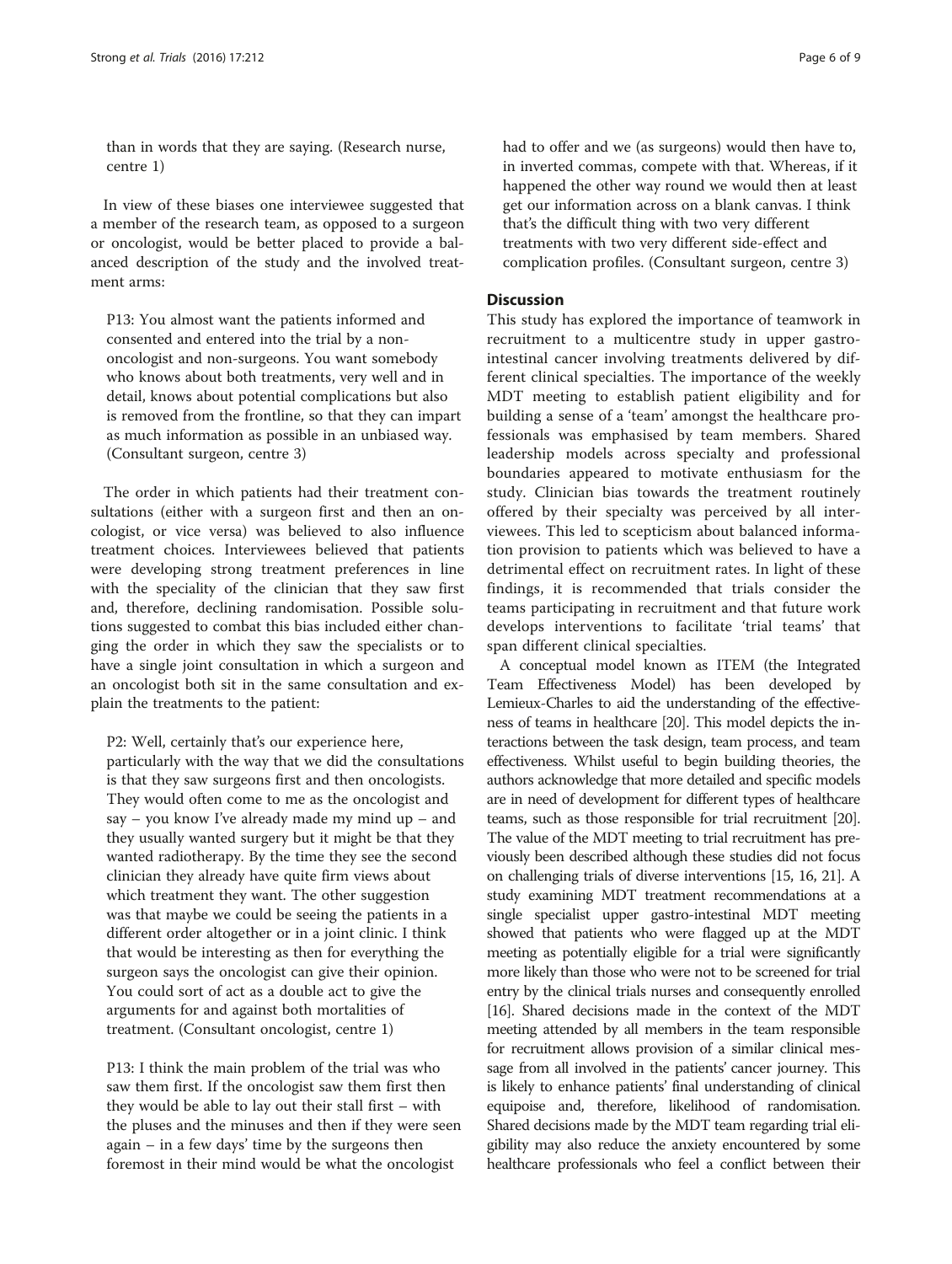than in words that they are saying. (Research nurse, centre 1)

In view of these biases one interviewee suggested that a member of the research team, as opposed to a surgeon or oncologist, would be better placed to provide a balanced description of the study and the involved treatment arms:

P13: You almost want the patients informed and consented and entered into the trial by a nononcologist and non-surgeons. You want somebody who knows about both treatments, very well and in detail, knows about potential complications but also is removed from the frontline, so that they can impart as much information as possible in an unbiased way. (Consultant surgeon, centre 3)

The order in which patients had their treatment consultations (either with a surgeon first and then an oncologist, or vice versa) was believed to also influence treatment choices. Interviewees believed that patients were developing strong treatment preferences in line with the speciality of the clinician that they saw first and, therefore, declining randomisation. Possible solutions suggested to combat this bias included either changing the order in which they saw the specialists or to have a single joint consultation in which a surgeon and an oncologist both sit in the same consultation and explain the treatments to the patient:

P2: Well, certainly that's our experience here, particularly with the way that we did the consultations is that they saw surgeons first and then oncologists. They would often come to me as the oncologist and say – you know I've already made my mind up – and they usually wanted surgery but it might be that they wanted radiotherapy. By the time they see the second clinician they already have quite firm views about which treatment they want. The other suggestion was that maybe we could be seeing the patients in a different order altogether or in a joint clinic. I think that would be interesting as then for everything the surgeon says the oncologist can give their opinion. You could sort of act as a double act to give the arguments for and against both mortalities of treatment. (Consultant oncologist, centre 1)

P13: I think the main problem of the trial was who saw them first. If the oncologist saw them first then they would be able to lay out their stall first – with the pluses and the minuses and then if they were seen again – in a few days' time by the surgeons then foremost in their mind would be what the oncologist

had to offer and we (as surgeons) would then have to, in inverted commas, compete with that. Whereas, if it happened the other way round we would then at least get our information across on a blank canvas. I think that's the difficult thing with two very different treatments with two very different side-effect and complication profiles. (Consultant surgeon, centre 3)

## **Discussion**

This study has explored the importance of teamwork in recruitment to a multicentre study in upper gastrointestinal cancer involving treatments delivered by different clinical specialties. The importance of the weekly MDT meeting to establish patient eligibility and for building a sense of a 'team' amongst the healthcare professionals was emphasised by team members. Shared leadership models across specialty and professional boundaries appeared to motivate enthusiasm for the study. Clinician bias towards the treatment routinely offered by their specialty was perceived by all interviewees. This led to scepticism about balanced information provision to patients which was believed to have a detrimental effect on recruitment rates. In light of these findings, it is recommended that trials consider the teams participating in recruitment and that future work develops interventions to facilitate 'trial teams' that span different clinical specialties.

A conceptual model known as ITEM (the Integrated Team Effectiveness Model) has been developed by Lemieux-Charles to aid the understanding of the effectiveness of teams in healthcare [\[20](#page-8-0)]. This model depicts the interactions between the task design, team process, and team effectiveness. Whilst useful to begin building theories, the authors acknowledge that more detailed and specific models are in need of development for different types of healthcare teams, such as those responsible for trial recruitment [\[20](#page-8-0)]. The value of the MDT meeting to trial recruitment has previously been described although these studies did not focus on challenging trials of diverse interventions [\[15, 16](#page-8-0), [21\]](#page-8-0). A study examining MDT treatment recommendations at a single specialist upper gastro-intestinal MDT meeting showed that patients who were flagged up at the MDT meeting as potentially eligible for a trial were significantly more likely than those who were not to be screened for trial entry by the clinical trials nurses and consequently enrolled [[16](#page-8-0)]. Shared decisions made in the context of the MDT meeting attended by all members in the team responsible for recruitment allows provision of a similar clinical message from all involved in the patients' cancer journey. This is likely to enhance patients' final understanding of clinical equipoise and, therefore, likelihood of randomisation. Shared decisions made by the MDT team regarding trial eligibility may also reduce the anxiety encountered by some healthcare professionals who feel a conflict between their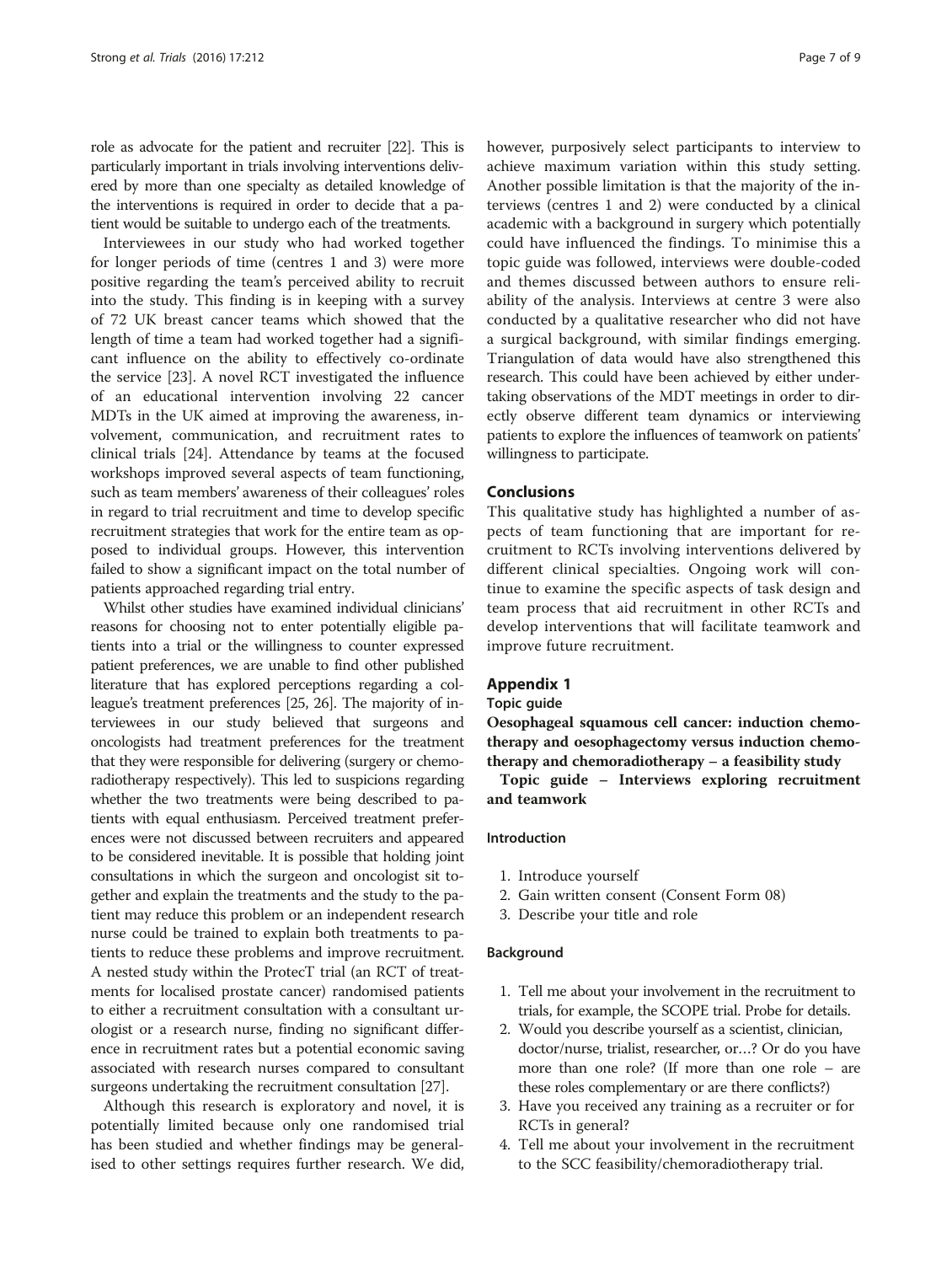<span id="page-6-0"></span>role as advocate for the patient and recruiter [\[22\]](#page-8-0). This is particularly important in trials involving interventions delivered by more than one specialty as detailed knowledge of the interventions is required in order to decide that a patient would be suitable to undergo each of the treatments.

Interviewees in our study who had worked together for longer periods of time (centres 1 and 3) were more positive regarding the team's perceived ability to recruit into the study. This finding is in keeping with a survey of 72 UK breast cancer teams which showed that the length of time a team had worked together had a significant influence on the ability to effectively co-ordinate the service [[23\]](#page-8-0). A novel RCT investigated the influence of an educational intervention involving 22 cancer MDTs in the UK aimed at improving the awareness, involvement, communication, and recruitment rates to clinical trials [[24](#page-8-0)]. Attendance by teams at the focused workshops improved several aspects of team functioning, such as team members' awareness of their colleagues' roles in regard to trial recruitment and time to develop specific recruitment strategies that work for the entire team as opposed to individual groups. However, this intervention failed to show a significant impact on the total number of patients approached regarding trial entry.

Whilst other studies have examined individual clinicians' reasons for choosing not to enter potentially eligible patients into a trial or the willingness to counter expressed patient preferences, we are unable to find other published literature that has explored perceptions regarding a colleague's treatment preferences [[25](#page-8-0), [26\]](#page-8-0). The majority of interviewees in our study believed that surgeons and oncologists had treatment preferences for the treatment that they were responsible for delivering (surgery or chemoradiotherapy respectively). This led to suspicions regarding whether the two treatments were being described to patients with equal enthusiasm. Perceived treatment preferences were not discussed between recruiters and appeared to be considered inevitable. It is possible that holding joint consultations in which the surgeon and oncologist sit together and explain the treatments and the study to the patient may reduce this problem or an independent research nurse could be trained to explain both treatments to patients to reduce these problems and improve recruitment. A nested study within the ProtecT trial (an RCT of treatments for localised prostate cancer) randomised patients to either a recruitment consultation with a consultant urologist or a research nurse, finding no significant difference in recruitment rates but a potential economic saving associated with research nurses compared to consultant surgeons undertaking the recruitment consultation [\[27\]](#page-8-0).

Although this research is exploratory and novel, it is potentially limited because only one randomised trial has been studied and whether findings may be generalised to other settings requires further research. We did, however, purposively select participants to interview to achieve maximum variation within this study setting. Another possible limitation is that the majority of the interviews (centres 1 and 2) were conducted by a clinical academic with a background in surgery which potentially could have influenced the findings. To minimise this a topic guide was followed, interviews were double-coded and themes discussed between authors to ensure reliability of the analysis. Interviews at centre 3 were also conducted by a qualitative researcher who did not have a surgical background, with similar findings emerging. Triangulation of data would have also strengthened this research. This could have been achieved by either undertaking observations of the MDT meetings in order to directly observe different team dynamics or interviewing patients to explore the influences of teamwork on patients' willingness to participate.

#### Conclusions

This qualitative study has highlighted a number of aspects of team functioning that are important for recruitment to RCTs involving interventions delivered by different clinical specialties. Ongoing work will continue to examine the specific aspects of task design and team process that aid recruitment in other RCTs and develop interventions that will facilitate teamwork and improve future recruitment.

## Appendix 1

## Topic guide

Oesophageal squamous cell cancer: induction chemotherapy and oesophagectomy versus induction chemotherapy and chemoradiotherapy – a feasibility study

Topic guide – Interviews exploring recruitment and teamwork

## Introduction

- 1. Introduce yourself
- 2. Gain written consent (Consent Form 08)
- 3. Describe your title and role

#### Background

- 1. Tell me about your involvement in the recruitment to trials, for example, the SCOPE trial. Probe for details.
- 2. Would you describe yourself as a scientist, clinician, doctor/nurse, trialist, researcher, or…? Or do you have more than one role? (If more than one role – are these roles complementary or are there conflicts?)
- 3. Have you received any training as a recruiter or for RCTs in general?
- 4. Tell me about your involvement in the recruitment to the SCC feasibility/chemoradiotherapy trial.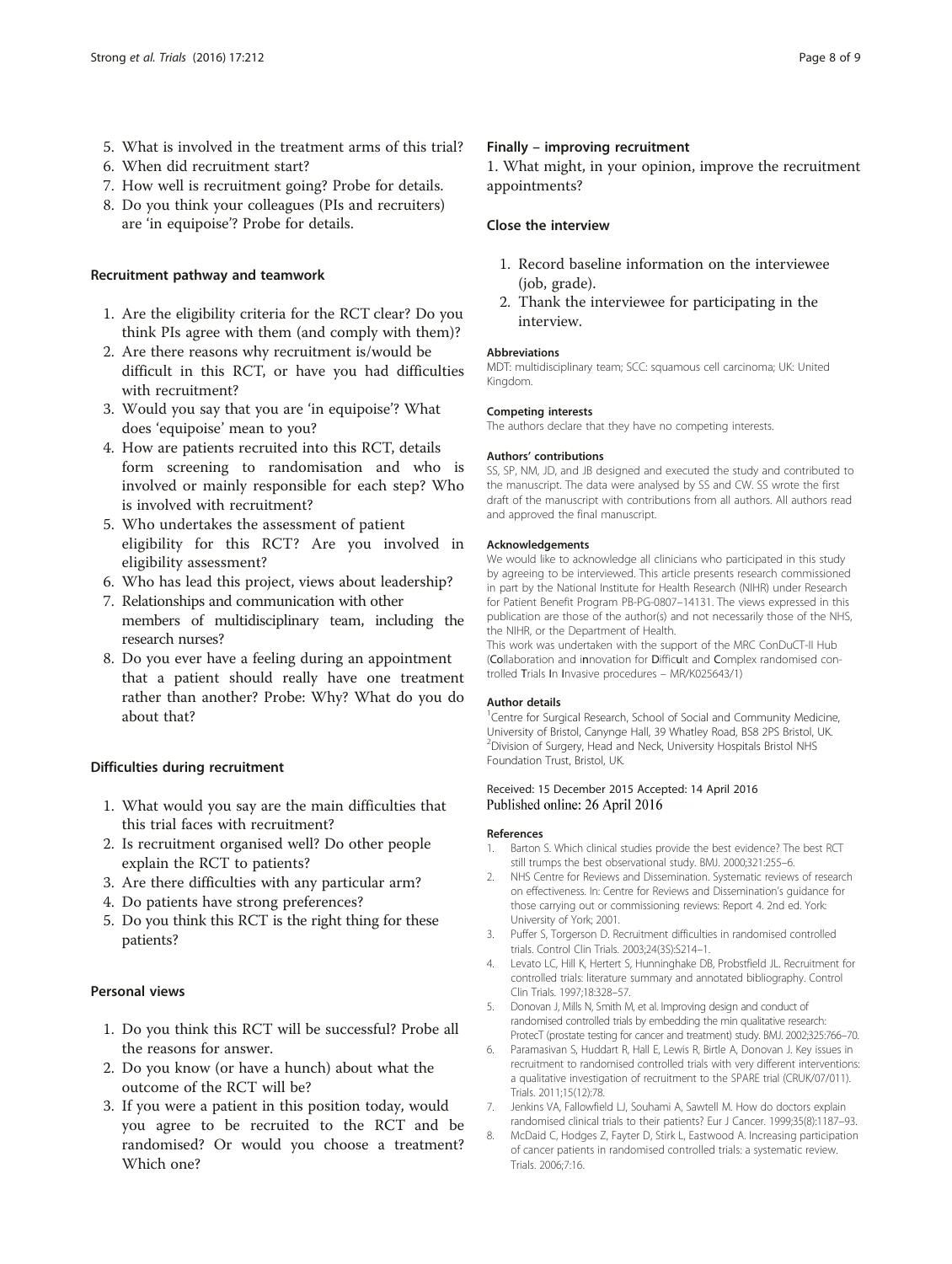- <span id="page-7-0"></span>5. What is involved in the treatment arms of this trial?
- 6. When did recruitment start?
- 7. How well is recruitment going? Probe for details.
- 8. Do you think your colleagues (PIs and recruiters) are 'in equipoise'? Probe for details.

## Recruitment pathway and teamwork

- 1. Are the eligibility criteria for the RCT clear? Do you think PIs agree with them (and comply with them)?
- 2. Are there reasons why recruitment is/would be difficult in this RCT, or have you had difficulties with recruitment?
- 3. Would you say that you are 'in equipoise'? What does 'equipoise' mean to you?
- 4. How are patients recruited into this RCT, details form screening to randomisation and who is involved or mainly responsible for each step? Who is involved with recruitment?
- 5. Who undertakes the assessment of patient eligibility for this RCT? Are you involved in eligibility assessment?
- 6. Who has lead this project, views about leadership?
- 7. Relationships and communication with other members of multidisciplinary team, including the research nurses?
- 8. Do you ever have a feeling during an appointment that a patient should really have one treatment rather than another? Probe: Why? What do you do about that?

## Difficulties during recruitment

- 1. What would you say are the main difficulties that this trial faces with recruitment?
- 2. Is recruitment organised well? Do other people explain the RCT to patients?
- 3. Are there difficulties with any particular arm?
- 4. Do patients have strong preferences?
- 5. Do you think this RCT is the right thing for these patients?

## Personal views

- 1. Do you think this RCT will be successful? Probe all the reasons for answer.
- 2. Do you know (or have a hunch) about what the outcome of the RCT will be?
- 3. If you were a patient in this position today, would you agree to be recruited to the RCT and be randomised? Or would you choose a treatment? Which one?

#### Finally – improving recruitment

1. What might, in your opinion, improve the recruitment appointments?

## Close the interview

- 1. Record baseline information on the interviewee (job, grade).
- 2. Thank the interviewee for participating in the interview.

#### Abbreviations

MDT: multidisciplinary team; SCC: squamous cell carcinoma; UK: United Kingdom.

#### Competing interests

The authors declare that they have no competing interests.

#### Authors' contributions

SS, SP, NM, JD, and JB designed and executed the study and contributed to the manuscript. The data were analysed by SS and CW. SS wrote the first draft of the manuscript with contributions from all authors. All authors read and approved the final manuscript.

#### Acknowledgements

We would like to acknowledge all clinicians who participated in this study by agreeing to be interviewed. This article presents research commissioned in part by the National Institute for Health Research (NIHR) under Research for Patient Benefit Program PB-PG-0807–14131. The views expressed in this publication are those of the author(s) and not necessarily those of the NHS, the NIHR, or the Department of Health.

This work was undertaken with the support of the MRC ConDuCT-II Hub (Collaboration and innovation for Difficult and Complex randomised controlled Trials In Invasive procedures – MR/K025643/1)

#### Author details

<sup>1</sup> Centre for Surgical Research, School of Social and Community Medicine, University of Bristol, Canynge Hall, 39 Whatley Road, BS8 2PS Bristol, UK. 2 Division of Surgery, Head and Neck, University Hospitals Bristol NHS Foundation Trust, Bristol, UK.

#### Received: 15 December 2015 Accepted: 14 April 2016 Published online: 26 April 2016

#### References

- 1. Barton S. Which clinical studies provide the best evidence? The best RCT still trumps the best observational study. BMJ. 2000;321:255–6.
- 2. NHS Centre for Reviews and Dissemination. Systematic reviews of research on effectiveness. In: Centre for Reviews and Dissemination's guidance for those carrying out or commissioning reviews: Report 4. 2nd ed. York: University of York; 2001.
- 3. Puffer S, Torgerson D. Recruitment difficulties in randomised controlled trials. Control Clin Trials. 2003;24(3S):S214–1.
- 4. Levato LC, Hill K, Hertert S, Hunninghake DB, Probstfield JL. Recruitment for controlled trials: literature summary and annotated bibliography. Control Clin Trials. 1997;18:328–57.
- 5. Donovan J, Mills N, Smith M, et al. Improving design and conduct of randomised controlled trials by embedding the min qualitative research: ProtecT (prostate testing for cancer and treatment) study. BMJ. 2002;325:766–70.
- 6. Paramasivan S, Huddart R, Hall E, Lewis R, Birtle A, Donovan J. Key issues in recruitment to randomised controlled trials with very different interventions: a qualitative investigation of recruitment to the SPARE trial (CRUK/07/011). Trials. 2011;15(12):78.
- 7. Jenkins VA, Fallowfield LJ, Souhami A, Sawtell M. How do doctors explain randomised clinical trials to their patients? Eur J Cancer. 1999;35(8):1187–93.
- 8. McDaid C, Hodges Z, Fayter D, Stirk L, Eastwood A. Increasing participation of cancer patients in randomised controlled trials: a systematic review. Trials. 2006;7:16.